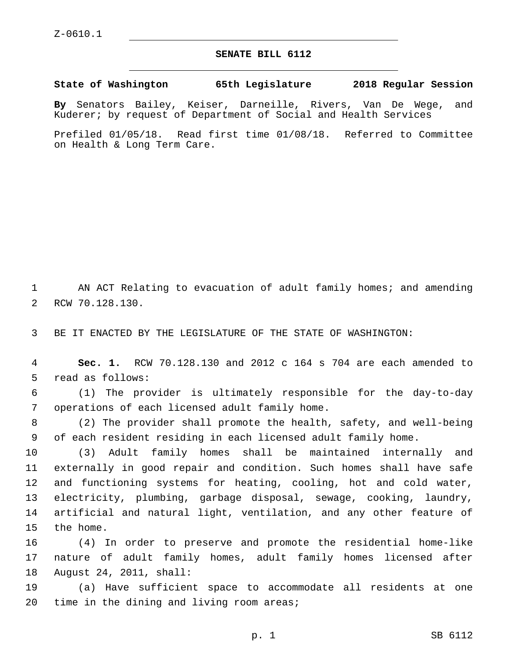## **SENATE BILL 6112**

**State of Washington 65th Legislature 2018 Regular Session**

**By** Senators Bailey, Keiser, Darneille, Rivers, Van De Wege, and Kuderer; by request of Department of Social and Health Services

Prefiled 01/05/18. Read first time 01/08/18. Referred to Committee on Health & Long Term Care.

1 AN ACT Relating to evacuation of adult family homes; and amending 2 RCW 70.128.130.

3 BE IT ENACTED BY THE LEGISLATURE OF THE STATE OF WASHINGTON:

4 **Sec. 1.** RCW 70.128.130 and 2012 c 164 s 704 are each amended to 5 read as follows:

6 (1) The provider is ultimately responsible for the day-to-day 7 operations of each licensed adult family home.

8 (2) The provider shall promote the health, safety, and well-being 9 of each resident residing in each licensed adult family home.

 (3) Adult family homes shall be maintained internally and externally in good repair and condition. Such homes shall have safe and functioning systems for heating, cooling, hot and cold water, electricity, plumbing, garbage disposal, sewage, cooking, laundry, artificial and natural light, ventilation, and any other feature of 15 the home.

16 (4) In order to preserve and promote the residential home-like 17 nature of adult family homes, adult family homes licensed after 18 August 24, 2011, shall:

19 (a) Have sufficient space to accommodate all residents at one 20 time in the dining and living room areas;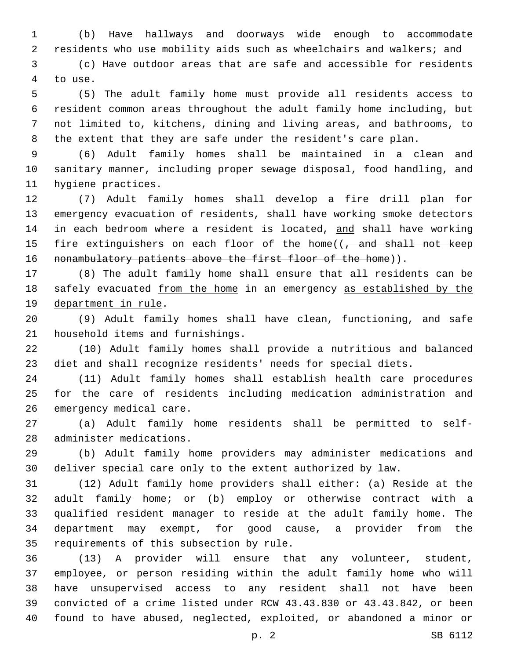(b) Have hallways and doorways wide enough to accommodate residents who use mobility aids such as wheelchairs and walkers; and

 (c) Have outdoor areas that are safe and accessible for residents 4 to use.

 (5) The adult family home must provide all residents access to resident common areas throughout the adult family home including, but not limited to, kitchens, dining and living areas, and bathrooms, to the extent that they are safe under the resident's care plan.

 (6) Adult family homes shall be maintained in a clean and sanitary manner, including proper sewage disposal, food handling, and 11 hygiene practices.

 (7) Adult family homes shall develop a fire drill plan for emergency evacuation of residents, shall have working smoke detectors 14 in each bedroom where a resident is located, and shall have working 15 fire extinguishers on each floor of the home((, and shall not keep 16 nonambulatory patients above the first floor of the home)).

 (8) The adult family home shall ensure that all residents can be safely evacuated from the home in an emergency as established by the 19 department in rule.

 (9) Adult family homes shall have clean, functioning, and safe 21 household items and furnishings.

 (10) Adult family homes shall provide a nutritious and balanced diet and shall recognize residents' needs for special diets.

 (11) Adult family homes shall establish health care procedures for the care of residents including medication administration and 26 emergency medical care.

 (a) Adult family home residents shall be permitted to self-28 administer medications.

 (b) Adult family home providers may administer medications and deliver special care only to the extent authorized by law.

 (12) Adult family home providers shall either: (a) Reside at the adult family home; or (b) employ or otherwise contract with a qualified resident manager to reside at the adult family home. The department may exempt, for good cause, a provider from the 35 requirements of this subsection by rule.

 (13) A provider will ensure that any volunteer, student, employee, or person residing within the adult family home who will have unsupervised access to any resident shall not have been convicted of a crime listed under RCW 43.43.830 or 43.43.842, or been found to have abused, neglected, exploited, or abandoned a minor or